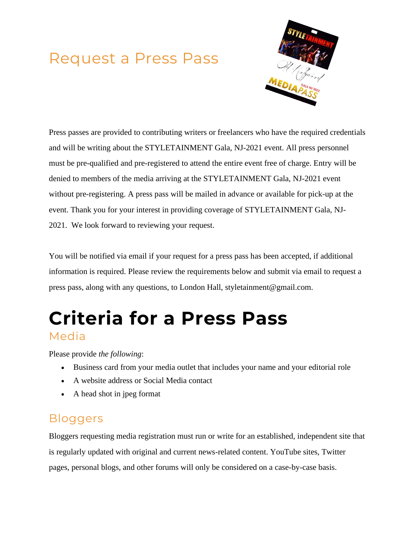## Request a Press Pass



Press passes are provided to contributing writers or freelancers who have the required credentials and will be writing about the STYLETAINMENT Gala, NJ-2021 event. All press personnel must be pre-qualified and pre-registered to attend the entire event free of charge. Entry will be denied to members of the media arriving at the STYLETAINMENT Gala, NJ-2021 event without pre-registering. A press pass will be mailed in advance or available for pick-up at the event. Thank you for your interest in providing coverage of STYLETAINMENT Gala, NJ-2021. We look forward to reviewing your request.

You will be notified via email if your request for a press pass has been accepted, if additional information is required. Please review the requirements below and submit via email to request a press pass, along with any questions, to London Hall, styletainment@gmail.com.

# **Criteria for a Press Pass** Media

Please provide *the following*:

- Business card from your media outlet that includes your name and your editorial role
- A website address or Social Media contact
- A head shot in jpeg format

### **Bloggers**

Bloggers requesting media registration must run or write for an established, independent site that is regularly updated with original and current news-related content. YouTube sites, Twitter pages, personal blogs, and other forums will only be considered on a case-by-case basis.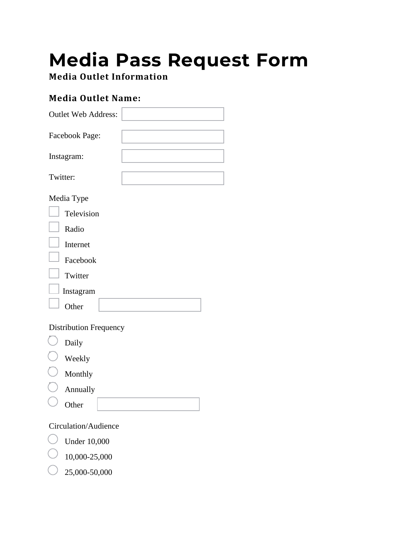# **Media Pass Request Form**

**Media Outlet Information**

#### **Media Outlet Name:**

| <b>Outlet Web Address:</b>    |  |
|-------------------------------|--|
|                               |  |
| Facebook Page:                |  |
|                               |  |
| Instagram:                    |  |
| Twitter:                      |  |
|                               |  |
| Media Type                    |  |
| Television                    |  |
| Radio                         |  |
| Internet                      |  |
| Facebook                      |  |
| Twitter                       |  |
| Instagram                     |  |
| Other                         |  |
| <b>Distribution Frequency</b> |  |
| Daily                         |  |
| Weekly                        |  |
| Monthly                       |  |
|                               |  |

 $\bigcup$  Annually

**Other** 

Circulation/Audience

Under 10,000

10,000-25,000

25,000-50,000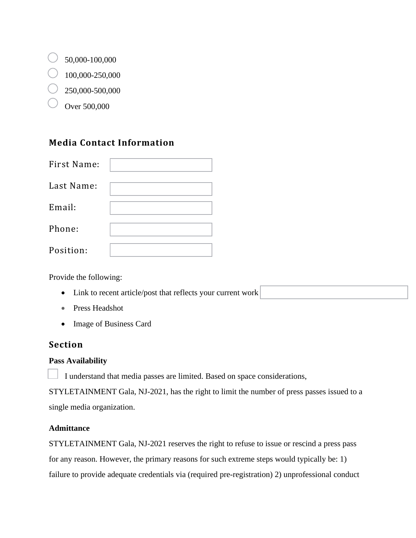- $\bigcirc$  50,000-100,000
- $100,000-250,000$
- 250,000-500,000
	- Over 500,000

#### **Media Contact Information**

| First Name: |  |
|-------------|--|
| Last Name:  |  |
| Email:      |  |
| Phone:      |  |
| Position:   |  |

Provide the following:

- Link to recent article/post that reflects your current work
- Press Headshot
- Image of Business Card

#### **Section**

#### **Pass Availability**

I understand that media passes are limited. Based on space considerations,

STYLETAINMENT Gala, NJ-2021, has the right to limit the number of press passes issued to a single media organization.

#### **Admittance**

STYLETAINMENT Gala, NJ-2021 reserves the right to refuse to issue or rescind a press pass for any reason. However, the primary reasons for such extreme steps would typically be: 1) failure to provide adequate credentials via (required pre-registration) 2) unprofessional conduct